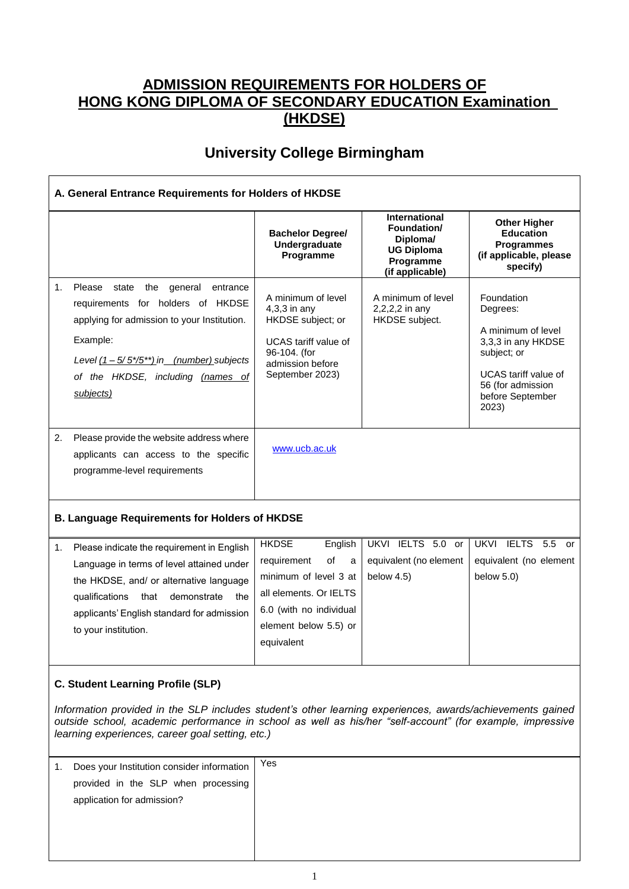## **ADMISSION REQUIREMENTS FOR HOLDERS OF HONG KONG DIPLOMA OF SECONDARY EDUCATION Examination (HKDSE)**

## **University College Birmingham**

| A. General Entrance Requirements for Holders of HKDSE |                                                                                                                                                                                                                                                   |                                                                                                                                                 |                                                                                                      |                                                                                                                                                                    |  |  |
|-------------------------------------------------------|---------------------------------------------------------------------------------------------------------------------------------------------------------------------------------------------------------------------------------------------------|-------------------------------------------------------------------------------------------------------------------------------------------------|------------------------------------------------------------------------------------------------------|--------------------------------------------------------------------------------------------------------------------------------------------------------------------|--|--|
|                                                       |                                                                                                                                                                                                                                                   | <b>Bachelor Degree/</b><br>Undergraduate<br>Programme                                                                                           | <b>International</b><br>Foundation/<br>Diploma/<br><b>UG Diploma</b><br>Programme<br>(if applicable) | <b>Other Higher</b><br><b>Education</b><br><b>Programmes</b><br>(if applicable, please<br>specify)                                                                 |  |  |
| 1 <sub>1</sub>                                        | Please<br>the<br>state<br>general<br>entrance<br>requirements for holders of HKDSE<br>applying for admission to your Institution.<br>Example:<br>Level $(1 - 5/5*/5^{**})$ in (number) subjects<br>of the HKDSE, including (names of<br>subjects) | A minimum of level<br>$4,3,3$ in any<br>HKDSE subject; or<br><b>UCAS</b> tariff value of<br>96-104. (for<br>admission before<br>September 2023) | A minimum of level<br>2,2,2,2 in any<br>HKDSE subject.                                               | Foundation<br>Degrees:<br>A minimum of level<br>3,3,3 in any HKDSE<br>subject; or<br><b>UCAS</b> tariff value of<br>56 (for admission<br>before September<br>2023) |  |  |
| 2.                                                    | Please provide the website address where<br>applicants can access to the specific<br>programme-level requirements                                                                                                                                 | www.ucb.ac.uk                                                                                                                                   |                                                                                                      |                                                                                                                                                                    |  |  |
| <b>B. Language Requirements for Holders of HKDSE</b>  |                                                                                                                                                                                                                                                   |                                                                                                                                                 |                                                                                                      |                                                                                                                                                                    |  |  |
| 1.                                                    | Please indicate the requirement in English<br>Language in terms of level attained under<br>the HKDSE, and/ or alternative language<br>qualifications<br>that<br>demonstrate<br>the                                                                | <b>HKDSE</b><br>English<br>of<br>requirement<br>a<br>minimum of level 3 at<br>all elements. Or IELTS                                            | UKVI IELTS 5.0 or<br>equivalent (no element<br>below 4.5)                                            | UKVI IELTS 5.5<br>or<br>equivalent (no element<br>below $5.0$ )                                                                                                    |  |  |

## **C. Student Learning Profile (SLP)**

to your institution.

applicants' English standard for admission

*Information provided in the SLP includes student's other learning experiences, awards/achievements gained outside school, academic performance in school as well as his/her "self-account" (for example, impressive learning experiences, career goal setting, etc.)*

6.0 (with no individual element below 5.5) or

equivalent

| -1. | Does your Institution consider information | Yes |
|-----|--------------------------------------------|-----|
|     | provided in the SLP when processing        |     |
|     | application for admission?                 |     |
|     |                                            |     |
|     |                                            |     |
|     |                                            |     |